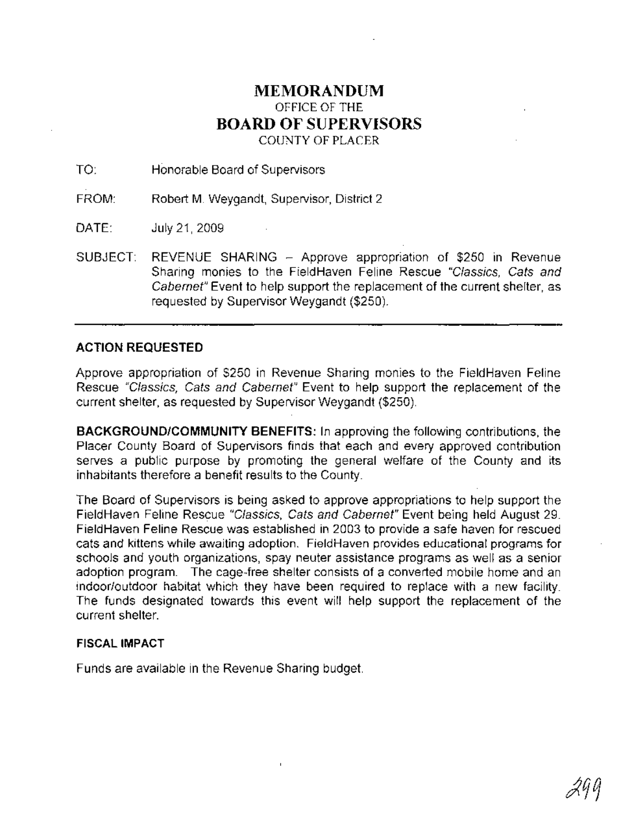### **MEMORANDUM** OFFICE OF THE **BOARD OF SUPERVISORS** COUNTY OF PLACER

TO: Honorable Board of Supervisors

FROM: Robert M. Weygandt, Supervisor, District 2

DATE: July 21,2009

SUBJECT: REVENUE SHARING - Approve appropriation of \$250 in Revenue Sharing monies to the FieldHaven Feline Rescue "Classics, Cats and Cabernet" Event to help support the replacement of the current shelter, as requested by Supervisor Weygandt (\$250).

### **ACTION REQUESTED**

Approve appropriation of \$250 in Revenue Sharing monies to the FieldHaven Feline Rescue "Classics, Cats and Cabernet" Event to help support the replacement of the current shelter, as requested by Supervisor Weygandt (\$250).

**BACKGROUND/COMMUNITY BENEFITS:** In approving the following contributions, the Placer County Board of Supervisors finds that each and every approved contribution serves a public purpose by promoting the general welfare of the County and its inhabitants therefore a benefit results to the County.

The Board of Supervisors is being asked to approve appropriations to help support the FieldHaven Feline Rescue "Classics, Cats and Cabernet" Event being held August 29. FieldHaven Feline Rescue was established in 2003 to provide a safe haven for rescued cats and kittens while awaiting adoption. FieldHaven provides educational programs for schools and youth organizations, spay neuter assistance programs as well as a senior adoption program. The cage-free shelter consists of a converted mobile home and an indoor/outdoor habitat which they have been required to replace with a new facility. The funds designated towards this event will help support the replacement of the current shelter.

### **FISCAL IMPACT**

Funds are available in the Revenue Sharing budget.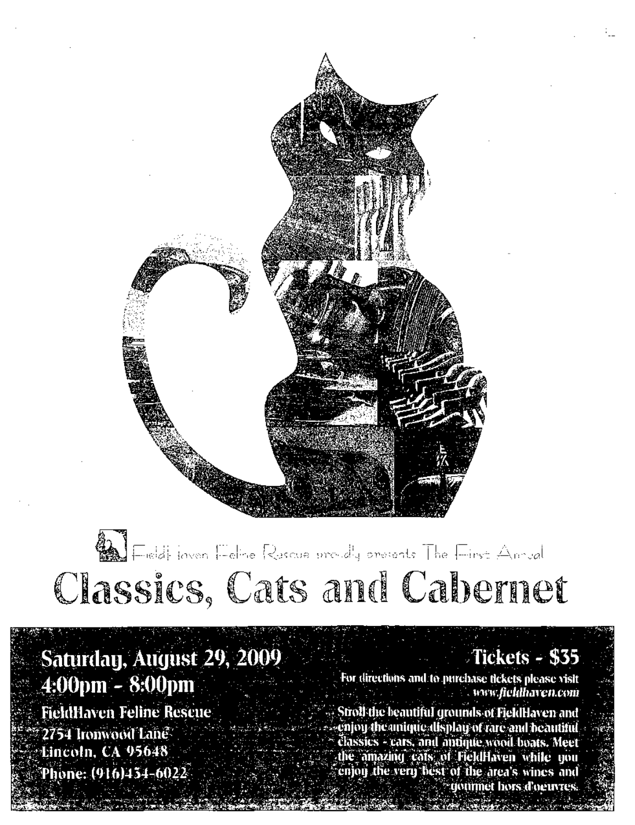

# **We Find flower Felixe Rescue proudly presents** The First Annual Classics, Cats and Cabernet

Saturday, August 29, 2009 4:00pm - 8:00pm **FieldHaven Feline Rescue** 2754 Ironwood Lane<sup>®</sup> Lincoln, CA 95648 Phone: (916)454-6022

Tickets - \$35

For directions and to purchase fickets please visit *Contractive distribution of the United States* 

Stroll the beautiful grounds of FieldHaven and . enjoy the anique alisplay of rare and beautiful classics - cars, and autique wood boats. Meet the amazing cats of FieldHaven while you<br>conjoy the very best of the area's wines and gourmet hors d'oeuvres